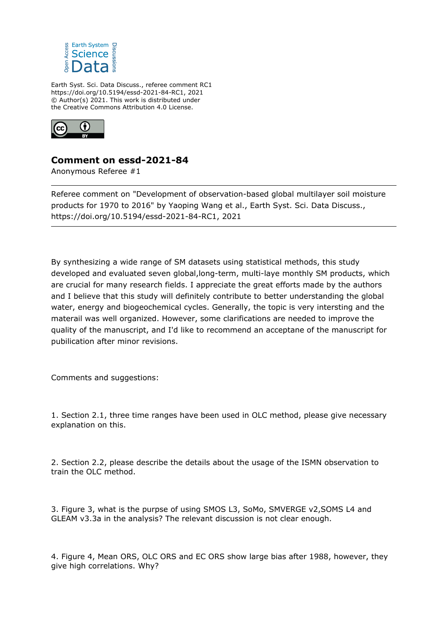

Earth Syst. Sci. Data Discuss., referee comment RC1 https://doi.org/10.5194/essd-2021-84-RC1, 2021 © Author(s) 2021. This work is distributed under the Creative Commons Attribution 4.0 License.



## **Comment on essd-2021-84**

Anonymous Referee #1

Referee comment on "Development of observation-based global multilayer soil moisture products for 1970 to 2016" by Yaoping Wang et al., Earth Syst. Sci. Data Discuss., https://doi.org/10.5194/essd-2021-84-RC1, 2021

By synthesizing a wide range of SM datasets using statistical methods, this study developed and evaluated seven global,long-term, multi-laye monthly SM products, which are crucial for many research fields. I appreciate the great efforts made by the authors and I believe that this study will definitely contribute to better understanding the global water, energy and biogeochemical cycles. Generally, the topic is very intersting and the materail was well organized. However, some clarifications are needed to improve the quality of the manuscript, and I'd like to recommend an acceptane of the manuscript for pubilication after minor revisions.

Comments and suggestions:

1. Section 2.1, three time ranges have been used in OLC method, please give necessary explanation on this.

2. Section 2.2, please describe the details about the usage of the ISMN observation to train the OLC method.

3. Figure 3, what is the purpse of using SMOS L3, SoMo, SMVERGE v2,SOMS L4 and GLEAM v3.3a in the analysis? The relevant discussion is not clear enough.

4. Figure 4, Mean ORS, OLC ORS and EC ORS show large bias after 1988, however, they give high correlations. Why?